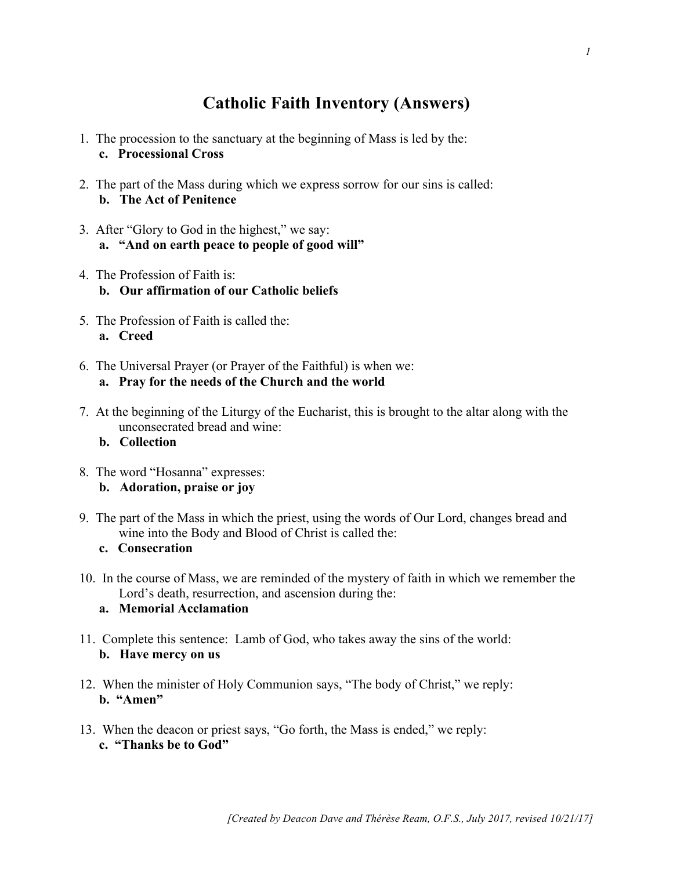# **Catholic Faith Inventory (Answers)**

- 1. The procession to the sanctuary at the beginning of Mass is led by the: **c. Processional Cross**
- 2. The part of the Mass during which we express sorrow for our sins is called: **b. The Act of Penitence**
- 3. After "Glory to God in the highest," we say: **a. "And on earth peace to people of good will"**
- 4. The Profession of Faith is: **b. Our affirmation of our Catholic beliefs**
- 5. The Profession of Faith is called the: **a. Creed**
- 6. The Universal Prayer (or Prayer of the Faithful) is when we: **a. Pray for the needs of the Church and the world**
- 7. At the beginning of the Liturgy of the Eucharist, this is brought to the altar along with the unconsecrated bread and wine:

## **b. Collection**

- 8. The word "Hosanna" expresses: **b. Adoration, praise or joy**
- 9. The part of the Mass in which the priest, using the words of Our Lord, changes bread and wine into the Body and Blood of Christ is called the:
	- **c. Consecration**
- 10. In the course of Mass, we are reminded of the mystery of faith in which we remember the Lord's death, resurrection, and ascension during the:
	- **a. Memorial Acclamation**
- 11. Complete this sentence: Lamb of God, who takes away the sins of the world: **b. Have mercy on us**
- 12. When the minister of Holy Communion says, "The body of Christ," we reply: **b. "Amen"**
- 13. When the deacon or priest says, "Go forth, the Mass is ended," we reply: **c. "Thanks be to God"**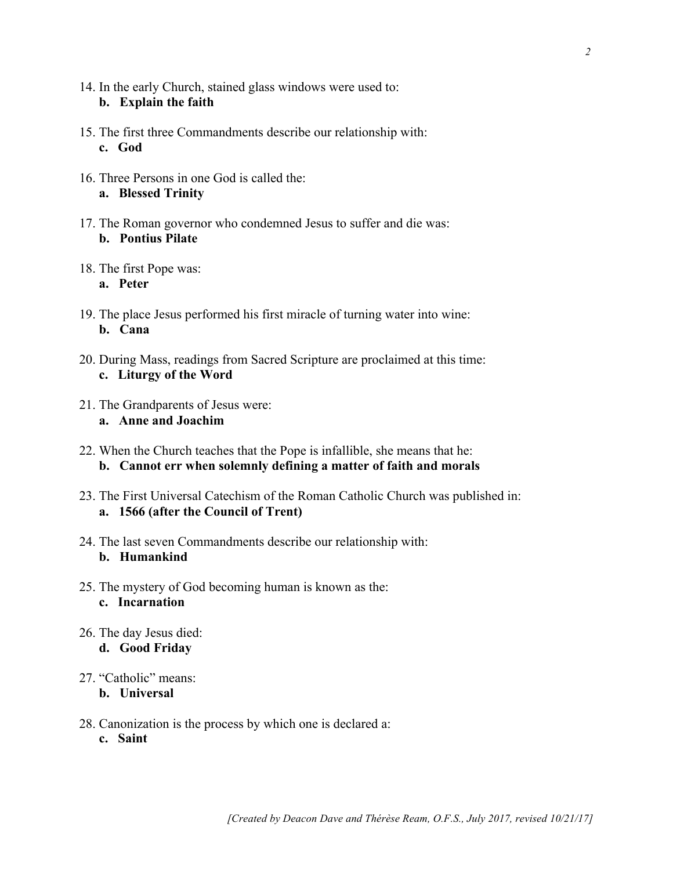- 14. In the early Church, stained glass windows were used to: **b. Explain the faith**
- 15. The first three Commandments describe our relationship with: **c. God**
- 16. Three Persons in one God is called the: **a. Blessed Trinity**
- 17. The Roman governor who condemned Jesus to suffer and die was: **b. Pontius Pilate**
- 18. The first Pope was:
	- **a. Peter**
- 19. The place Jesus performed his first miracle of turning water into wine: **b. Cana**
- 20. During Mass, readings from Sacred Scripture are proclaimed at this time: **c. Liturgy of the Word**
- 21. The Grandparents of Jesus were: **a. Anne and Joachim**
- 22. When the Church teaches that the Pope is infallible, she means that he: **b. Cannot err when solemnly defining a matter of faith and morals**
- 23. The First Universal Catechism of the Roman Catholic Church was published in: **a. 1566 (after the Council of Trent)**
- 24. The last seven Commandments describe our relationship with: **b. Humankind**
- 25. The mystery of God becoming human is known as the: **c. Incarnation**
- 26. The day Jesus died: **d. Good Friday**
- 27. "Catholic" means:
	- **b. Universal**
- 28. Canonization is the process by which one is declared a: **c. Saint**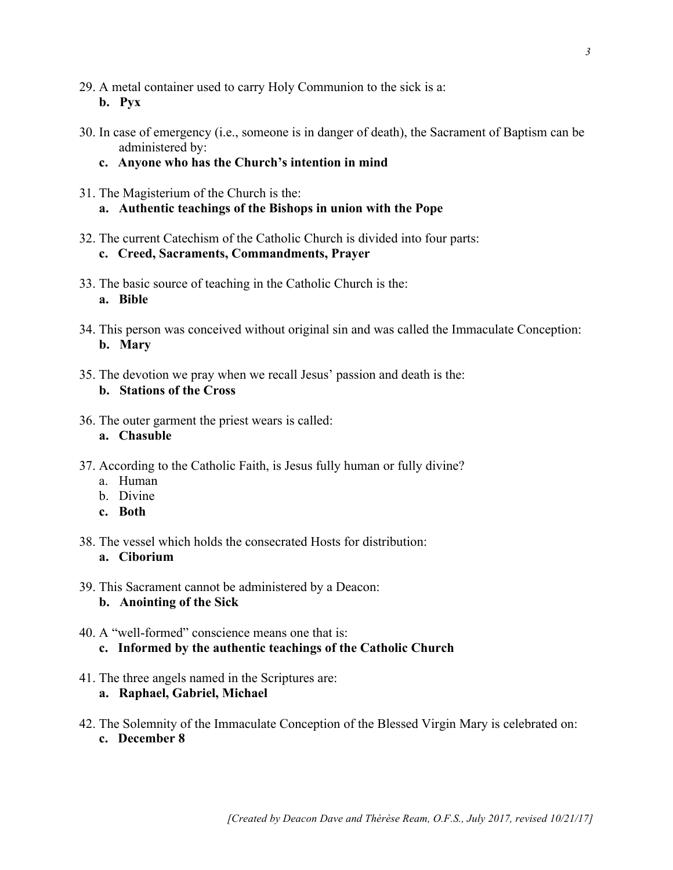- 29. A metal container used to carry Holy Communion to the sick is a: **b. Pyx**
- 30. In case of emergency (i.e., someone is in danger of death), the Sacrament of Baptism can be administered by:
	- **c. Anyone who has the Church's intention in mind**
- 31. The Magisterium of the Church is the:
	- **a. Authentic teachings of the Bishops in union with the Pope**
- 32. The current Catechism of the Catholic Church is divided into four parts: **c. Creed, Sacraments, Commandments, Prayer**
- 33. The basic source of teaching in the Catholic Church is the: **a. Bible**
- 34. This person was conceived without original sin and was called the Immaculate Conception: **b. Mary**
- 35. The devotion we pray when we recall Jesus' passion and death is the:

### **b. Stations of the Cross**

36. The outer garment the priest wears is called:

#### **a. Chasuble**

- 37. According to the Catholic Faith, is Jesus fully human or fully divine?
	- a. Human
	- b. Divine
	- **c. Both**
- 38. The vessel which holds the consecrated Hosts for distribution: **a. Ciborium**
- 39. This Sacrament cannot be administered by a Deacon: **b. Anointing of the Sick**
- 40. A "well-formed" conscience means one that is: **c. Informed by the authentic teachings of the Catholic Church**
- 41. The three angels named in the Scriptures are:

## **a. Raphael, Gabriel, Michael**

42. The Solemnity of the Immaculate Conception of the Blessed Virgin Mary is celebrated on: **c. December 8**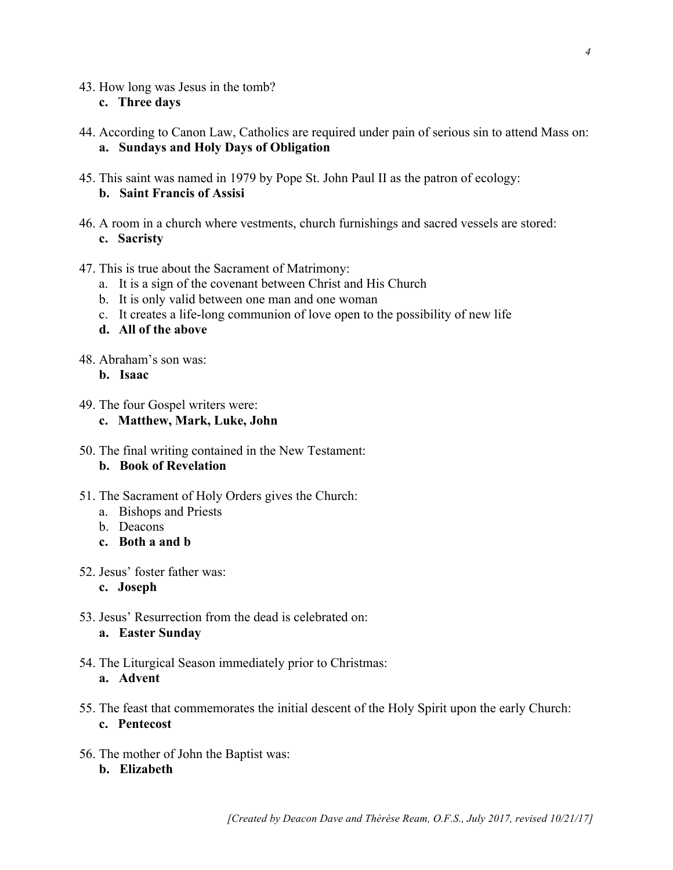- 43. How long was Jesus in the tomb? **c. Three days**
- 44. According to Canon Law, Catholics are required under pain of serious sin to attend Mass on: **a. Sundays and Holy Days of Obligation**
- 45. This saint was named in 1979 by Pope St. John Paul II as the patron of ecology: **b. Saint Francis of Assisi**
- 46. A room in a church where vestments, church furnishings and sacred vessels are stored: **c. Sacristy**
- 47. This is true about the Sacrament of Matrimony:
	- a. It is a sign of the covenant between Christ and His Church
	- b. It is only valid between one man and one woman
	- c. It creates a life-long communion of love open to the possibility of new life
	- **d. All of the above**
- 48. Abraham's son was:
	- **b. Isaac**
- 49. The four Gospel writers were:
	- **c. Matthew, Mark, Luke, John**
- 50. The final writing contained in the New Testament: **b. Book of Revelation**
- 51. The Sacrament of Holy Orders gives the Church:
	- a. Bishops and Priests
	- b. Deacons
	- **c. Both a and b**
- 52. Jesus' foster father was:
	- **c. Joseph**
- 53. Jesus' Resurrection from the dead is celebrated on: **a. Easter Sunday**
- 54. The Liturgical Season immediately prior to Christmas: **a. Advent**
- 55. The feast that commemorates the initial descent of the Holy Spirit upon the early Church: **c. Pentecost**
- 56. The mother of John the Baptist was:
	- **b. Elizabeth**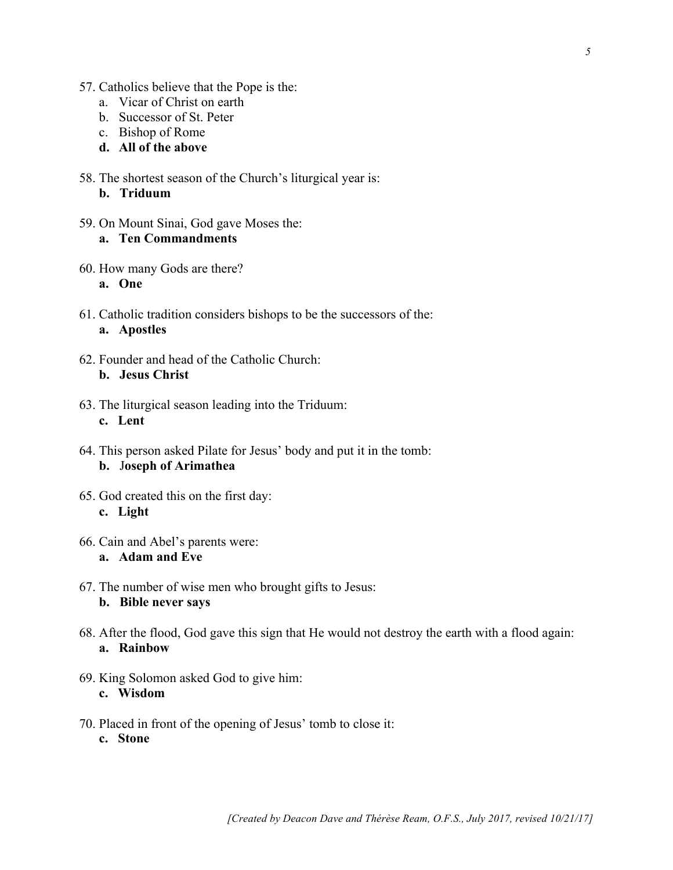- 57. Catholics believe that the Pope is the:
	- a. Vicar of Christ on earth
	- b. Successor of St. Peter
	- c. Bishop of Rome
	- **d. All of the above**
- 58. The shortest season of the Church's liturgical year is:
	- **b. Triduum**
- 59. On Mount Sinai, God gave Moses the: **a. Ten Commandments**
- 60. How many Gods are there?
	- **a. One**
- 61. Catholic tradition considers bishops to be the successors of the: **a. Apostles**
- 62. Founder and head of the Catholic Church: **b. Jesus Christ**
- 63. The liturgical season leading into the Triduum: **c. Lent**
- 64. This person asked Pilate for Jesus' body and put it in the tomb: **b.** J**oseph of Arimathea**
- 65. God created this on the first day: **c. Light**
- 66. Cain and Abel's parents were: **a. Adam and Eve**
- 67. The number of wise men who brought gifts to Jesus: **b. Bible never says**
- 68. After the flood, God gave this sign that He would not destroy the earth with a flood again: **a. Rainbow**
- 69. King Solomon asked God to give him: **c. Wisdom**
- 70. Placed in front of the opening of Jesus' tomb to close it: **c. Stone**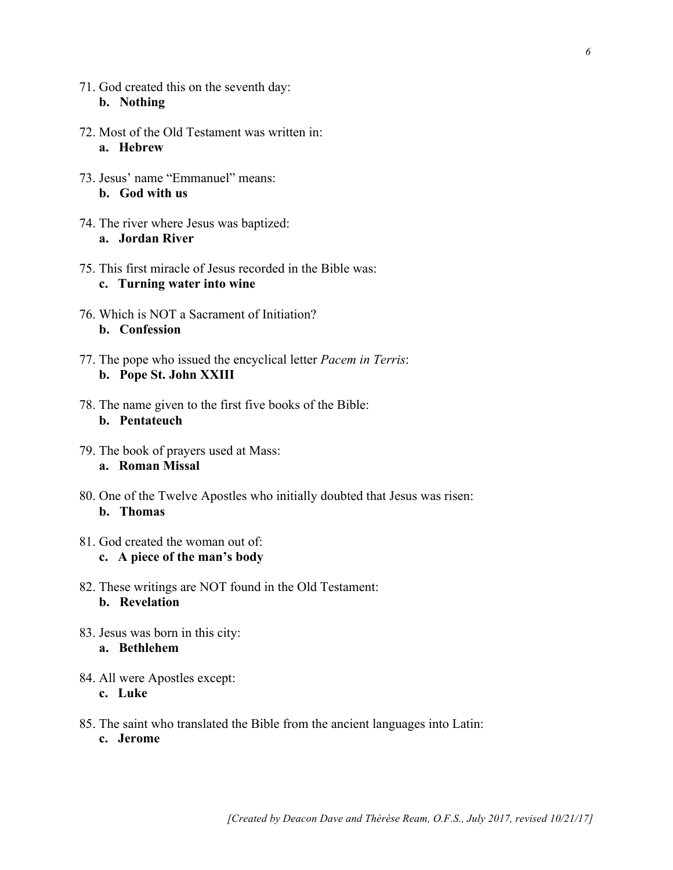- 71. God created this on the seventh day: **b. Nothing**
- 72. Most of the Old Testament was written in: **a. Hebrew**
- 73. Jesus' name "Emmanuel" means: **b. God with us**
- 74. The river where Jesus was baptized: **a. Jordan River**
- 75. This first miracle of Jesus recorded in the Bible was: **c. Turning water into wine**
- 76. Which is NOT a Sacrament of Initiation? **b. Confession**
- 77. The pope who issued the encyclical letter *Pacem in Terris*: **b. Pope St. John XXIII**
- 78. The name given to the first five books of the Bible: **b. Pentateuch**
- 79. The book of prayers used at Mass: **a. Roman Missal**
- 80. One of the Twelve Apostles who initially doubted that Jesus was risen: **b. Thomas**
- 81. God created the woman out of: **c. A piece of the man's body**
- 82. These writings are NOT found in the Old Testament: **b. Revelation**
- 83. Jesus was born in this city: **a. Bethlehem**
- 84. All were Apostles except: **c. Luke**
- 85. The saint who translated the Bible from the ancient languages into Latin: **c. Jerome**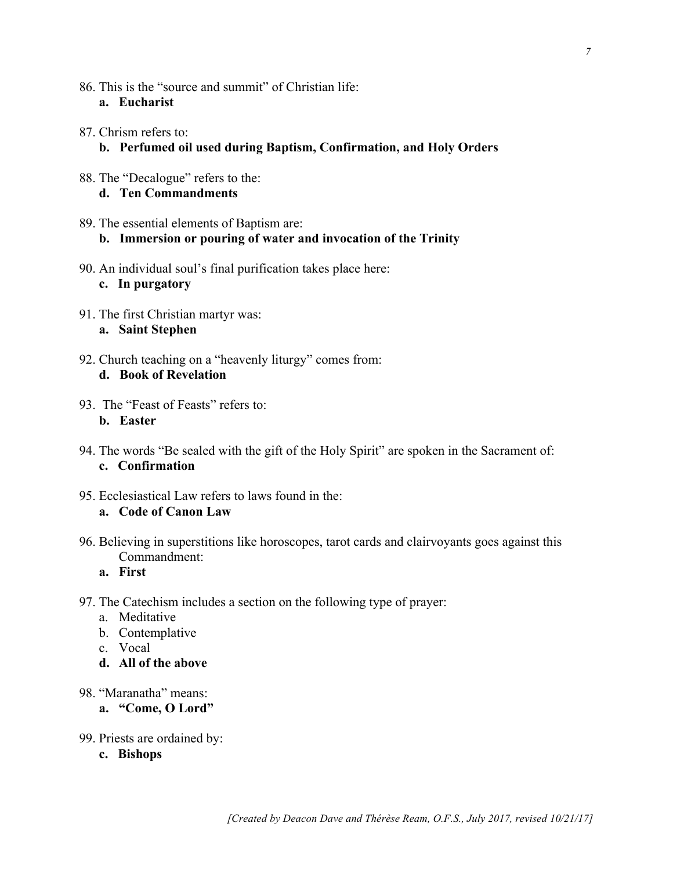- 86. This is the "source and summit" of Christian life: **a. Eucharist**
- 87. Chrism refers to: **b. Perfumed oil used during Baptism, Confirmation, and Holy Orders**
- 88. The "Decalogue" refers to the: **d. Ten Commandments**
- 89. The essential elements of Baptism are: **b. Immersion or pouring of water and invocation of the Trinity**
- 90. An individual soul's final purification takes place here: **c. In purgatory**
- 91. The first Christian martyr was: **a. Saint Stephen**
- 92. Church teaching on a "heavenly liturgy" comes from: **d. Book of Revelation**
- 93. The "Feast of Feasts" refers to: **b. Easter**
- 94. The words "Be sealed with the gift of the Holy Spirit" are spoken in the Sacrament of: **c. Confirmation**
- 95. Ecclesiastical Law refers to laws found in the: **a. Code of Canon Law**
- 96. Believing in superstitions like horoscopes, tarot cards and clairvoyants goes against this Commandment:
	- **a. First**
- 97. The Catechism includes a section on the following type of prayer:
	- a. Meditative
	- b. Contemplative
	- c. Vocal
	- **d. All of the above**
- 98. "Maranatha" means:
	- **a. "Come, O Lord"**
- 99. Priests are ordained by:
	- **c. Bishops**